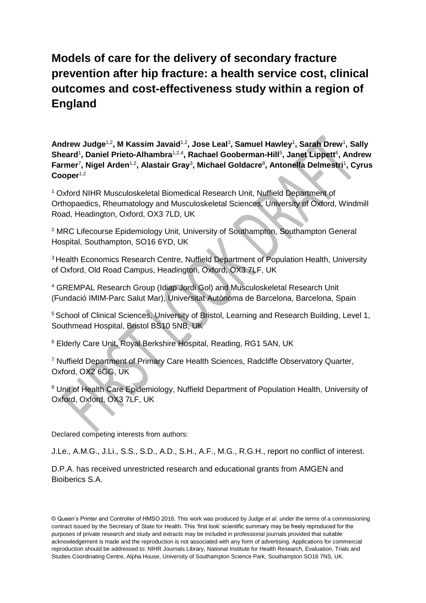# **Models of care for the delivery of secondary fracture prevention after hip fracture: a health service cost, clinical outcomes and cost-effectiveness study within a region of England**

**Andrew Judge**1,2**, M Kassim Javaid**1,2**, Jose Leal**<sup>3</sup> **, Samuel Hawley**<sup>1</sup> **, Sarah Drew**<sup>1</sup> **, Sally**  Sheard<sup>1</sup>, Daniel Prieto-Alhambra<sup>1,2,4</sup>, Rachael Gooberman-Hill<sup>5</sup>, Janet Lippett<sup>6</sup>, Andrew Farmer<sup>7</sup>, Nigel Arden<sup>1,2</sup>, Alastair Gray<sup>3</sup>, Michael Goldacre<sup>8</sup>, Antonella Delmestri<sup>1</sup>, Cyrus Cooper<sup>1,2</sup>

<sup>1</sup> Oxford NIHR Musculoskeletal Biomedical Research Unit, Nuffield Department of Orthopaedics, Rheumatology and Musculoskeletal Sciences, University of Oxford, Windmill Road, Headington, Oxford, OX3 7LD, UK

<sup>2</sup> MRC Lifecourse Epidemiology Unit, University of Southampton, Southampton General Hospital, Southampton, SO16 6YD, UK

<sup>3</sup> Health Economics Research Centre, Nuffield Department of Population Health, University of Oxford, Old Road Campus, Headington, Oxford, OX3 7LF, UK

<sup>4</sup> GREMPAL Research Group (Idiap Jordi Gol) and Musculoskeletal Research Unit (Fundació IMIM-Parc Salut Mar), Universitat Autònoma de Barcelona, Barcelona, Spain

<sup>5</sup> School of Clinical Sciences, University of Bristol, Learning and Research Building, Level 1, Southmead Hospital, Bristol BS10 5NB, UK

<sup>6</sup> Elderly Care Unit, Royal Berkshire Hospital, Reading, RG1 5AN, UK

<sup>7</sup> Nuffield Department of Primary Care Health Sciences, Radcliffe Observatory Quarter, Oxford, OX2 6GG, UK

<sup>8</sup> Unit of Health Care Epidemiology, Nuffield Department of Population Health, University of Oxford, Oxford, OX3 7LF, UK

Declared competing interests from authors:

J.Le., A.M.G., J.Li., S.S., S.D., A.D., S.H., A.F., M.G., R.G.H., report no conflict of interest.

D.P.A. has received unrestricted research and educational grants from AMGEN and Bioiberics S.A.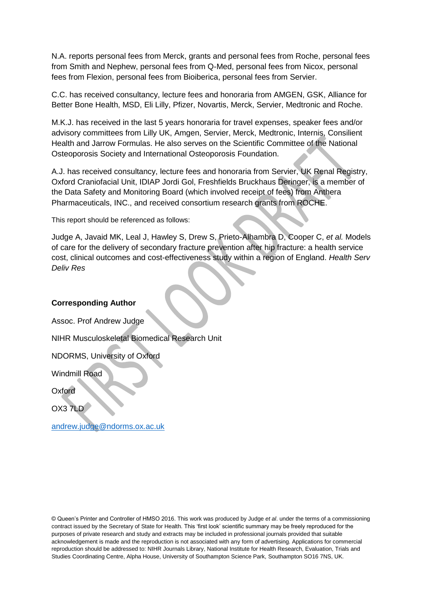N.A. reports personal fees from Merck, grants and personal fees from Roche, personal fees from Smith and Nephew, personal fees from Q-Med, personal fees from Nicox, personal fees from Flexion, personal fees from Bioiberica, personal fees from Servier.

C.C. has received consultancy, lecture fees and honoraria from AMGEN, GSK, Alliance for Better Bone Health, MSD, Eli Lilly, Pfizer, Novartis, Merck, Servier, Medtronic and Roche.

M.K.J. has received in the last 5 years honoraria for travel expenses, speaker fees and/or advisory committees from Lilly UK, Amgen, Servier, Merck, Medtronic, Internis, Consilient Health and Jarrow Formulas. He also serves on the Scientific Committee of the National Osteoporosis Society and International Osteoporosis Foundation.

A.J. has received consultancy, lecture fees and honoraria from Servier, UK Renal Registry, Oxford Craniofacial Unit, IDIAP Jordi Gol, Freshfields Bruckhaus Deringer, is a member of the Data Safety and Monitoring Board (which involved receipt of fees) from Anthera Pharmaceuticals, INC., and received consortium research grants from ROCHE.

This report should be referenced as follows:

Judge A, Javaid MK, Leal J, Hawley S, Drew S, Prieto-Alhambra D, Cooper C, *et al.* Models of care for the delivery of secondary fracture prevention after hip fracture: a health service cost, clinical outcomes and cost-effectiveness study within a region of England. *Health Serv Deliv Res* 

## **Corresponding Author**

Assoc. Prof Andrew Judge NIHR Musculoskeletal Biomedical Research Unit NDORMS, University of Oxford

Windmill Road

**Oxford** 

OX3 7LD

[andrew.judge@ndorms.ox.ac.uk](mailto:andrew.judge@ndorms.ox.ac.uk)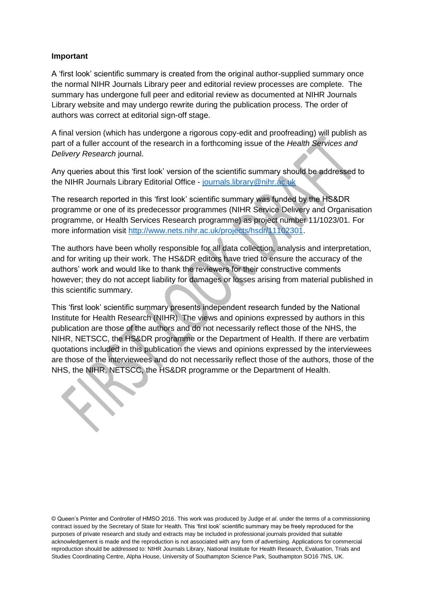## **Important**

A 'first look' scientific summary is created from the original author-supplied summary once the normal NIHR Journals Library peer and editorial review processes are complete. The summary has undergone full peer and editorial review as documented at NIHR Journals Library website and may undergo rewrite during the publication process. The order of authors was correct at editorial sign-off stage.

A final version (which has undergone a rigorous copy-edit and proofreading) will publish as part of a fuller account of the research in a forthcoming issue of the *Health Services and Delivery Research* journal.

Any queries about this 'first look' version of the scientific summary should be addressed to the NIHR Journals Library Editorial Office - [journals.library@nihr.ac.uk](mailto:journals.library@nihr.ac.uk)

The research reported in this 'first look' scientific summary was funded by the HS&DR programme or one of its predecessor programmes (NIHR Service Delivery and Organisation programme, or Health Services Research programme) as project number 11/1023/01. For more information visit [http://www.nets.nihr.ac.uk/projects/hsdr/11102301.](http://www.nets.nihr.ac.uk/projects/hsdr/11102301)

The authors have been wholly responsible for all data collection, analysis and interpretation, and for writing up their work. The HS&DR editors have tried to ensure the accuracy of the authors' work and would like to thank the reviewers for their constructive comments however; they do not accept liability for damages or losses arising from material published in this scientific summary.

This 'first look' scientific summary presents independent research funded by the National Institute for Health Research (NIHR). The views and opinions expressed by authors in this publication are those of the authors and do not necessarily reflect those of the NHS, the NIHR, NETSCC, the HS&DR programme or the Department of Health. If there are verbatim quotations included in this publication the views and opinions expressed by the interviewees are those of the interviewees and do not necessarily reflect those of the authors, those of the NHS, the NIHR, NETSCC, the HS&DR programme or the Department of Health.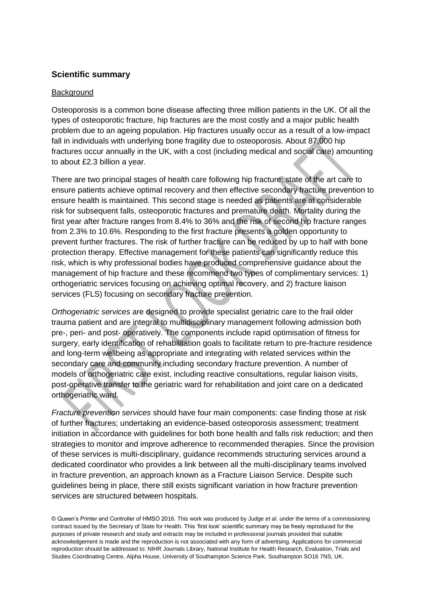# **Scientific summary**

## **Background**

Osteoporosis is a common bone disease affecting three million patients in the UK. Of all the types of osteoporotic fracture, hip fractures are the most costly and a major public health problem due to an ageing population. Hip fractures usually occur as a result of a low-impact fall in individuals with underlying bone fragility due to osteoporosis. About 87,000 hip fractures occur annually in the UK, with a cost (including medical and social care) amounting to about £2.3 billion a year.

There are two principal stages of health care following hip fracture: state of the art care to ensure patients achieve optimal recovery and then effective secondary fracture prevention to ensure health is maintained. This second stage is needed as patients are at considerable risk for subsequent falls, osteoporotic fractures and premature death. Mortality during the first year after fracture ranges from 8.4% to 36% and the risk of second hip fracture ranges from 2.3% to 10.6%. Responding to the first fracture presents a golden opportunity to prevent further fractures. The risk of further fracture can be reduced by up to half with bone protection therapy. Effective management for these patients can significantly reduce this risk, which is why professional bodies have produced comprehensive guidance about the management of hip fracture and these recommend two types of complimentary services: 1) orthogeriatric services focusing on achieving optimal recovery, and 2) fracture liaison services (FLS) focusing on secondary fracture prevention.

*Orthogeriatric services* are designed to provide specialist geriatric care to the frail older trauma patient and are integral to multidisciplinary management following admission both pre-, peri- and post- operatively. The components include rapid optimisation of fitness for surgery, early identification of rehabilitation goals to facilitate return to pre-fracture residence and long-term wellbeing as appropriate and integrating with related services within the secondary care and community including secondary fracture prevention. A number of models of orthogeriatric care exist, including reactive consultations, regular liaison visits, post-operative transfer to the geriatric ward for rehabilitation and joint care on a dedicated orthogeriatric ward.

*Fracture prevention services* should have four main components: case finding those at risk of further fractures; undertaking an evidence-based osteoporosis assessment; treatment initiation in accordance with guidelines for both bone health and falls risk reduction; and then strategies to monitor and improve adherence to recommended therapies. Since the provision of these services is multi-disciplinary, guidance recommends structuring services around a dedicated coordinator who provides a link between all the multi-disciplinary teams involved in fracture prevention, an approach known as a Fracture Liaison Service. Despite such guidelines being in place, there still exists significant variation in how fracture prevention services are structured between hospitals.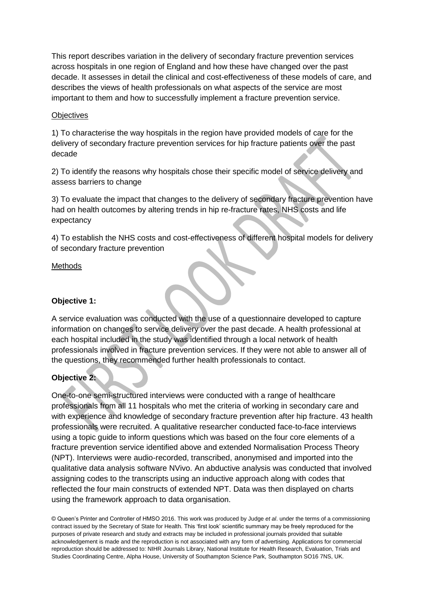This report describes variation in the delivery of secondary fracture prevention services across hospitals in one region of England and how these have changed over the past decade. It assesses in detail the clinical and cost-effectiveness of these models of care, and describes the views of health professionals on what aspects of the service are most important to them and how to successfully implement a fracture prevention service.

## **Objectives**

1) To characterise the way hospitals in the region have provided models of care for the delivery of secondary fracture prevention services for hip fracture patients over the past decade

2) To identify the reasons why hospitals chose their specific model of service delivery and assess barriers to change

3) To evaluate the impact that changes to the delivery of secondary fracture prevention have had on health outcomes by altering trends in hip re-fracture rates, NHS costs and life expectancy

4) To establish the NHS costs and cost-effectiveness of different hospital models for delivery of secondary fracture prevention

#### **Methods**

## **Objective 1:**

A service evaluation was conducted with the use of a questionnaire developed to capture information on changes to service delivery over the past decade. A health professional at each hospital included in the study was identified through a local network of health professionals involved in fracture prevention services. If they were not able to answer all of the questions, they recommended further health professionals to contact.

# **Objective 2:**

One-to-one semi-structured interviews were conducted with a range of healthcare professionals from all 11 hospitals who met the criteria of working in secondary care and with experience and knowledge of secondary fracture prevention after hip fracture. 43 health professionals were recruited. A qualitative researcher conducted face-to-face interviews using a topic guide to inform questions which was based on the four core elements of a fracture prevention service identified above and extended Normalisation Process Theory (NPT). Interviews were audio-recorded, transcribed, anonymised and imported into the qualitative data analysis software NVivo. An abductive analysis was conducted that involved assigning codes to the transcripts using an inductive approach along with codes that reflected the four main constructs of extended NPT. Data was then displayed on charts using the framework approach to data organisation.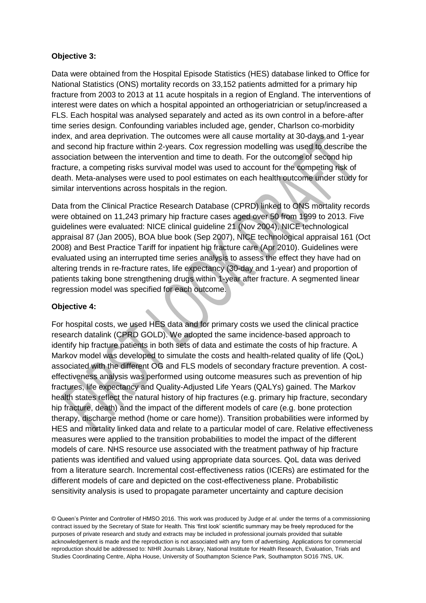# **Objective 3:**

Data were obtained from the Hospital Episode Statistics (HES) database linked to Office for National Statistics (ONS) mortality records on 33,152 patients admitted for a primary hip fracture from 2003 to 2013 at 11 acute hospitals in a region of England. The interventions of interest were dates on which a hospital appointed an orthogeriatrician or setup/increased a FLS. Each hospital was analysed separately and acted as its own control in a before-after time series design. Confounding variables included age, gender, Charlson co-morbidity index, and area deprivation. The outcomes were all cause mortality at 30-days and 1-year and second hip fracture within 2-years. Cox regression modelling was used to describe the association between the intervention and time to death. For the outcome of second hip fracture, a competing risks survival model was used to account for the competing risk of death. Meta-analyses were used to pool estimates on each health outcome under study for similar interventions across hospitals in the region.

Data from the Clinical Practice Research Database (CPRD) linked to ONS mortality records were obtained on 11,243 primary hip fracture cases aged over 50 from 1999 to 2013. Five guidelines were evaluated: NICE clinical guideline 21 (Nov 2004), NICE technological appraisal 87 (Jan 2005), BOA blue book (Sep 2007), NICE technological appraisal 161 (Oct 2008) and Best Practice Tariff for inpatient hip fracture care (Apr 2010). Guidelines were evaluated using an interrupted time series analysis to assess the effect they have had on altering trends in re-fracture rates, life expectancy (30-day and 1-year) and proportion of patients taking bone strengthening drugs within 1-year after fracture. A segmented linear regression model was specified for each outcome.

## **Objective 4:**

For hospital costs, we used HES data and for primary costs we used the clinical practice research datalink (CPRD GOLD). We adopted the same incidence-based approach to identify hip fracture patients in both sets of data and estimate the costs of hip fracture. A Markov model was developed to simulate the costs and health-related quality of life (QoL) associated with the different OG and FLS models of secondary fracture prevention. A costeffectiveness analysis was performed using outcome measures such as prevention of hip fractures, life expectancy and Quality-Adjusted Life Years (QALYs) gained. The Markov health states reflect the natural history of hip fractures (e.g. primary hip fracture, secondary hip fracture, death) and the impact of the different models of care (e.g. bone protection therapy, discharge method (home or care home)). Transition probabilities were informed by HES and mortality linked data and relate to a particular model of care. Relative effectiveness measures were applied to the transition probabilities to model the impact of the different models of care. NHS resource use associated with the treatment pathway of hip fracture patients was identified and valued using appropriate data sources. QoL data was derived from a literature search. Incremental cost-effectiveness ratios (ICERs) are estimated for the different models of care and depicted on the cost-effectiveness plane. Probabilistic sensitivity analysis is used to propagate parameter uncertainty and capture decision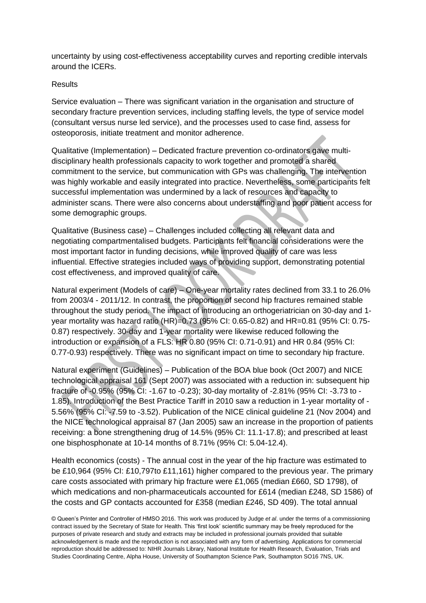uncertainty by using cost-effectiveness acceptability curves and reporting credible intervals around the ICERs.

#### Results

Service evaluation – There was significant variation in the organisation and structure of secondary fracture prevention services, including staffing levels, the type of service model (consultant versus nurse led service), and the processes used to case find, assess for osteoporosis, initiate treatment and monitor adherence.

Qualitative (Implementation) – Dedicated fracture prevention co-ordinators gave multidisciplinary health professionals capacity to work together and promoted a shared commitment to the service, but communication with GPs was challenging. The intervention was highly workable and easily integrated into practice. Nevertheless, some participants felt successful implementation was undermined by a lack of resources and capacity to administer scans. There were also concerns about understaffing and poor patient access for some demographic groups.

Qualitative (Business case) – Challenges included collecting all relevant data and negotiating compartmentalised budgets. Participants felt financial considerations were the most important factor in funding decisions, while improved quality of care was less influential. Effective strategies included ways of providing support, demonstrating potential cost effectiveness, and improved quality of care.

Natural experiment (Models of care) – One-year mortality rates declined from 33.1 to 26.0% from 2003/4 - 2011/12. In contrast, the proportion of second hip fractures remained stable throughout the study period. The impact of introducing an orthogeriatrician on 30-day and 1 year mortality was hazard ratio (HR)=0.73 (95% CI: 0.65-0.82) and HR=0.81 (95% CI: 0.75- 0.87) respectively. 30-day and 1-year mortality were likewise reduced following the introduction or expansion of a FLS: HR 0.80 (95% CI: 0.71-0.91) and HR 0.84 (95% CI: 0.77-0.93) respectively. There was no significant impact on time to secondary hip fracture.

Natural experiment (Guidelines) – Publication of the BOA blue book (Oct 2007) and NICE technological appraisal 161 (Sept 2007) was associated with a reduction in: subsequent hip fracture of -0.95% (95% CI: -1.67 to -0.23); 30-day mortality of -2.81% (95% CI: -3.73 to - 1.85). Introduction of the Best Practice Tariff in 2010 saw a reduction in 1-year mortality of - 5.56% (95% CI: -7.59 to -3.52). Publication of the NICE clinical guideline 21 (Nov 2004) and the NICE technological appraisal 87 (Jan 2005) saw an increase in the proportion of patients receiving: a bone strengthening drug of 14.5% (95% CI: 11.1-17.8); and prescribed at least one bisphosphonate at 10-14 months of 8.71% (95% CI: 5.04-12.4).

Health economics (costs) - The annual cost in the year of the hip fracture was estimated to be £10,964 (95% CI: £10,797to £11,161) higher compared to the previous year. The primary care costs associated with primary hip fracture were £1,065 (median £660, SD 1798), of which medications and non-pharmaceuticals accounted for £614 (median £248, SD 1586) of the costs and GP contacts accounted for £358 (median £246, SD 409). The total annual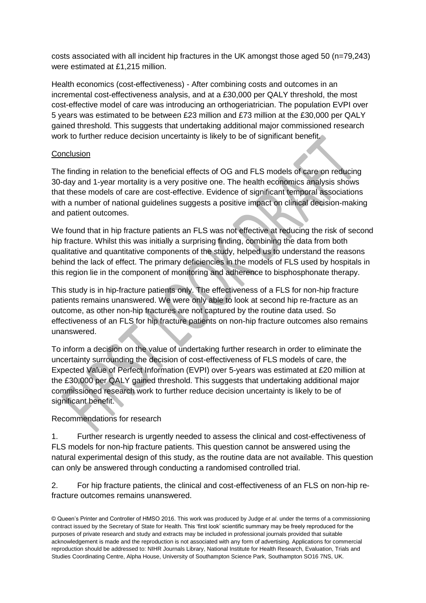costs associated with all incident hip fractures in the UK amongst those aged 50 (n=79,243) were estimated at £1,215 million.

Health economics (cost-effectiveness) - After combining costs and outcomes in an incremental cost-effectiveness analysis, and at a £30,000 per QALY threshold, the most cost-effective model of care was introducing an orthogeriatrician. The population EVPI over 5 years was estimated to be between £23 million and £73 million at the £30,000 per QALY gained threshold. This suggests that undertaking additional major commissioned research work to further reduce decision uncertainty is likely to be of significant benefit.

## **Conclusion**

The finding in relation to the beneficial effects of OG and FLS models of care on reducing 30-day and 1-year mortality is a very positive one. The health economics analysis shows that these models of care are cost-effective. Evidence of significant temporal associations with a number of national guidelines suggests a positive impact on clinical decision-making and patient outcomes.

We found that in hip fracture patients an FLS was not effective at reducing the risk of second hip fracture. Whilst this was initially a surprising finding, combining the data from both qualitative and quantitative components of the study, helped us to understand the reasons behind the lack of effect. The primary deficiencies in the models of FLS used by hospitals in this region lie in the component of monitoring and adherence to bisphosphonate therapy.

This study is in hip-fracture patients only. The effectiveness of a FLS for non-hip fracture patients remains unanswered. We were only able to look at second hip re-fracture as an outcome, as other non-hip fractures are not captured by the routine data used. So effectiveness of an FLS for hip fracture patients on non-hip fracture outcomes also remains unanswered.

To inform a decision on the value of undertaking further research in order to eliminate the uncertainty surrounding the decision of cost-effectiveness of FLS models of care, the Expected Value of Perfect Information (EVPI) over 5-years was estimated at £20 million at the £30,000 per QALY gained threshold. This suggests that undertaking additional major commissioned research work to further reduce decision uncertainty is likely to be of significant benefit.

# Recommendations for research

1. Further research is urgently needed to assess the clinical and cost-effectiveness of FLS models for non-hip fracture patients. This question cannot be answered using the natural experimental design of this study, as the routine data are not available. This question can only be answered through conducting a randomised controlled trial.

2. For hip fracture patients, the clinical and cost-effectiveness of an FLS on non-hip refracture outcomes remains unanswered.

<sup>©</sup> Queen's Printer and Controller of HMSO 2016. This work was produced by Judge *et al*. under the terms of a commissioning contract issued by the Secretary of State for Health. This 'first look' scientific summary may be freely reproduced for the purposes of private research and study and extracts may be included in professional journals provided that suitable acknowledgement is made and the reproduction is not associated with any form of advertising. Applications for commercial reproduction should be addressed to: NIHR Journals Library, National Institute for Health Research, Evaluation, Trials and Studies Coordinating Centre, Alpha House, University of Southampton Science Park, Southampton SO16 7NS, UK.